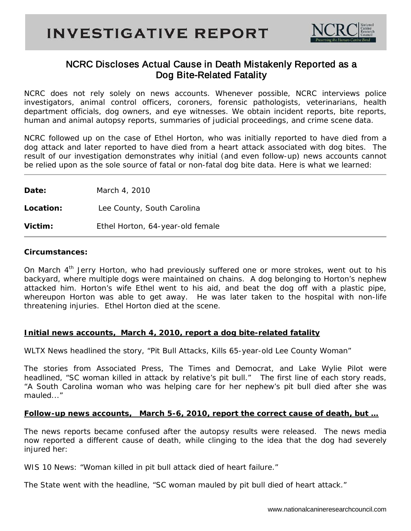

# NCRC Discloses Actual Cause in Death Mistakenly Reported as a Dog Bite-Related Fatality

NCRC does not rely solely on news accounts. Whenever possible, NCRC interviews police investigators, animal control officers, coroners, forensic pathologists, veterinarians, health department officials, dog owners, and eye witnesses. We obtain incident reports, bite reports, human and animal autopsy reports, summaries of judicial proceedings, and crime scene data.

NCRC followed up on the case of Ethel Horton, who was initially reported to have died from a dog attack and later reported to have died from a heart attack associated with dog bites. The result of our investigation demonstrates why initial (and even follow-up) news accounts cannot be relied upon as the sole source of fatal or non-fatal dog bite data. Here is what we learned:

**Date:** March 4, 2010 **Location:** Lee County, South Carolina **Victim:** Ethel Horton, 64-year-old female

#### **Circumstances:**

On March  $4<sup>th</sup>$  Jerry Horton, who had previously suffered one or more strokes, went out to his backyard, where multiple dogs were maintained on chains. A dog belonging to Horton's nephew attacked him. Horton's wife Ethel went to his aid, and beat the dog off with a plastic pipe, whereupon Horton was able to get away. He was later taken to the hospital with non-life threatening injuries. Ethel Horton died at the scene.

## **Initial news accounts, March 4, 2010, report a dog bite-related fatality**

*WLTX News* headlined the story, "Pit Bull Attacks, Kills 65-year-old Lee County Woman"

The stories from *Associated Press, The Times and Democrat*, and *Lake Wylie Pilot* were headlined, "SC woman killed in attack by relative's pit bull." The first line of each story reads, "A South Carolina woman who was helping care for her nephew's pit bull died after she was mauled..."

## **Follow-up news accounts, March 5-6, 2010, report the correct cause of death, but …**

The news reports became confused after the autopsy results were released. The news media now reported a different cause of death, while clinging to the idea that the dog had severely injured her:

*WIS 10 News:* "Woman killed in pit bull attack died of heart failure."

*The State* went with the headline, "SC woman mauled by pit bull died of heart attack."